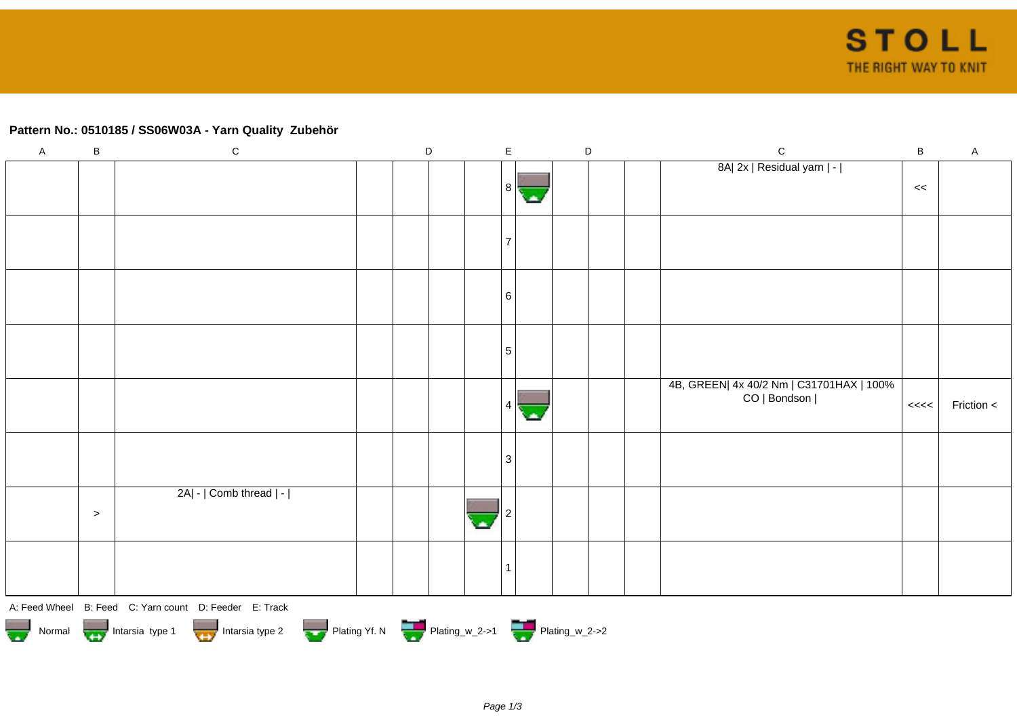## **Pattern No.: 0510185 / SS06W03A - Yarn Quality Zubehör**

|                                                                                          | $\, {\bf B}$ | $\mathsf A$ |  |  |  |  |  |  |  |  |
|------------------------------------------------------------------------------------------|--------------|-------------|--|--|--|--|--|--|--|--|
| 8A  2x   Residual yarn   -                                                               |              |             |  |  |  |  |  |  |  |  |
| 8  <br>С.                                                                                | $\,<\,$      |             |  |  |  |  |  |  |  |  |
|                                                                                          |              |             |  |  |  |  |  |  |  |  |
| 7                                                                                        |              |             |  |  |  |  |  |  |  |  |
|                                                                                          |              |             |  |  |  |  |  |  |  |  |
|                                                                                          |              |             |  |  |  |  |  |  |  |  |
| 6                                                                                        |              |             |  |  |  |  |  |  |  |  |
|                                                                                          |              |             |  |  |  |  |  |  |  |  |
| $\sqrt{5}$                                                                               |              |             |  |  |  |  |  |  |  |  |
|                                                                                          |              |             |  |  |  |  |  |  |  |  |
| 4B, GREEN  4x 40/2 Nm   C31701HAX   100%                                                 |              |             |  |  |  |  |  |  |  |  |
| CO   Bondson  <br>4<br>с.                                                                | <<           | Friction <  |  |  |  |  |  |  |  |  |
|                                                                                          |              |             |  |  |  |  |  |  |  |  |
| $\ensuremath{\mathsf{3}}$                                                                |              |             |  |  |  |  |  |  |  |  |
|                                                                                          |              |             |  |  |  |  |  |  |  |  |
| 2A  -   Comb thread   -                                                                  |              |             |  |  |  |  |  |  |  |  |
| $\,>$<br>A                                                                               |              |             |  |  |  |  |  |  |  |  |
|                                                                                          |              |             |  |  |  |  |  |  |  |  |
|                                                                                          |              |             |  |  |  |  |  |  |  |  |
| $\overline{\phantom{a}}$                                                                 |              |             |  |  |  |  |  |  |  |  |
| A: Feed Wheel B: Feed C: Yarn count D: Feeder E: Track                                   |              |             |  |  |  |  |  |  |  |  |
| Plating Yf. N Plating_w_2->1 Plating_w_2->2<br>Normal Intarsia type 1<br>Intarsia type 2 |              |             |  |  |  |  |  |  |  |  |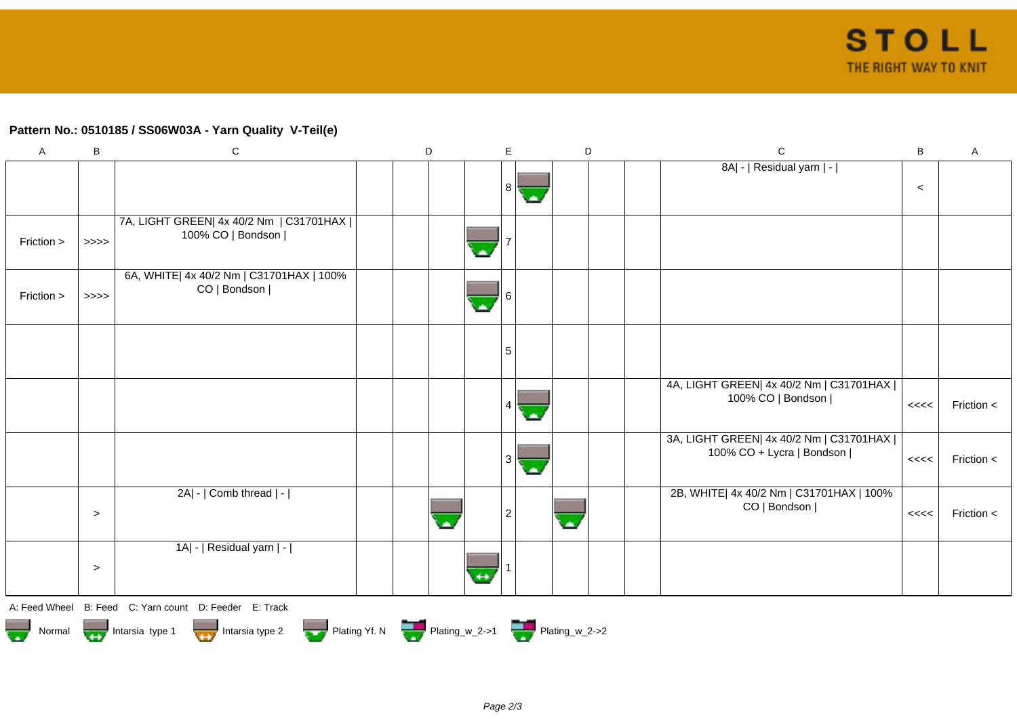## **Pattern No.: 0510185 / SS06W03A - Yarn Quality V-Teil(e)**

| A          | $\sf B$ | $\mathsf C$                                                    | D | E              |                          | D | $\mathbf C$                                                            | $\, {\bf B}$ | $\boldsymbol{\mathsf{A}}$ |
|------------|---------|----------------------------------------------------------------|---|----------------|--------------------------|---|------------------------------------------------------------------------|--------------|---------------------------|
|            |         |                                                                |   | 8              |                          |   | 8A  -   Residual yarn   -                                              | $\prec$      |                           |
| Friction > | $>>>>$  | 7A, LIGHT GREEN  4x 40/2 Nm   C31701HAX  <br>100% CO   Bondson |   |                |                          |   |                                                                        |              |                           |
| Friction > | $>>>>$  | 6A, WHITE  4x 40/2 Nm   C31701HAX   100%<br>CO   Bondson       |   |                |                          |   |                                                                        |              |                           |
|            |         |                                                                |   | 5              |                          |   |                                                                        |              |                           |
|            |         |                                                                |   |                |                          |   | 4A, LIGHT GREEN  4x 40/2 Nm   C31701HAX  <br>100% CO   Bondson         | <<<<         | Friction $\lt$            |
|            |         |                                                                |   | 3              |                          |   | 3A, LIGHT GREEN  4x 40/2 Nm   C31701HAX  <br>100% CO + Lycra   Bondson | <<<          | Friction <                |
|            | $\geq$  | 2A  -   Comb thread   -                                        |   | $\overline{2}$ | $\overline{\phantom{a}}$ |   | 2B, WHITE  4x 40/2 Nm   C31701HAX   100%<br>CO   Bondson               | <<<<         | Friction <                |
|            | $\geq$  | 1A  -   Residual yarn   -                                      |   |                |                          |   |                                                                        |              |                           |
|            |         | A: Feed Wheel B: Feed C: Yarn count D: Feeder E: Track         |   |                |                          |   |                                                                        |              |                           |

Normal Intarsia type 1 Intarsia type 2 Intarsia type 2 Plating Yf. N Plating w\_2->1 Plating W\_2->2